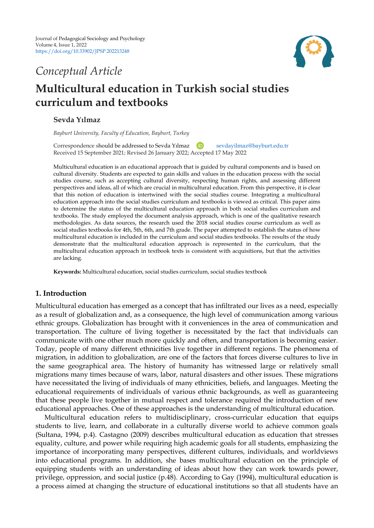

## *Conceptual Article*

# **Multicultural education in Turkish social studies curriculum and textbooks**

## **Sevda Yılmaz**

*Bayburt University, Faculty of Education, Bayburt, Turkey*

Correspondence should be addressed to Sevda Yılmaz (D) [sevdayilmaz@bayburt.edu.tr](mailto:sevdayilmaz@bayburt.edu.tr) Received 15 September 2021; Revised 26 January 2022; Accepted 17 May 2022

Multicultural education is an educational approach that is guided by cultural components and is based on cultural diversity. Students are expected to gain skills and values in the education process with the social studies course, such as accepting cultural diversity, respecting human rights, and assessing different perspectives and ideas, all of which are crucial in multicultural education. From this perspective, it is clear that this notion of education is intertwined with the social studies course. Integrating a multicultural education approach into the social studies curriculum and textbooks is viewed as critical. This paper aims to determine the status of the multicultural education approach in both social studies curriculum and textbooks. The study employed the document analysis approach, which is one of the qualitative research methodologies. As data sources, the research used the 2018 social studies course curriculum as well as social studies textbooks for 4th, 5th, 6th, and 7th grade. The paper attempted to establish the status of how multicultural education is included in the curriculum and social studies textbooks. The results of the study demonstrate that the multicultural education approach is represented in the curriculum, that the multicultural education approach in textbook texts is consistent with acquisitions, but that the activities are lacking.

**Keywords:** Multicultural education, social studies curriculum, social studies textbook

## **1. Introduction**

Multicultural education has emerged as a concept that has infiltrated our lives as a need, especially as a result of globalization and, as a consequence, the high level of communication among various ethnic groups. Globalization has brought with it conveniences in the area of communication and transportation. The culture of living together is necessitated by the fact that individuals can communicate with one other much more quickly and often, and transportation is becoming easier. Today, people of many different ethnicities live together in different regions. The phenomena of migration, in addition to globalization, are one of the factors that forces diverse cultures to live in the same geographical area. The history of humanity has witnessed large or relatively small migrations many times because of wars, labor, natural disasters and other issues. These migrations have necessitated the living of individuals of many ethnicities, beliefs, and languages. Meeting the educational requirements of individuals of various ethnic backgrounds, as well as guaranteeing that these people live together in mutual respect and tolerance required the introduction of new educational approaches. One of these approaches is the understanding of multicultural education.

Multicultural education refers to multidisciplinary, cross-curricular education that equips students to live, learn, and collaborate in a culturally diverse world to achieve common goals (Sultana, 1994, p.4). Castagno (2009) describes multicultural education as education that stresses equality, culture, and power while requiring high academic goals for all students, emphasizing the importance of incorporating many perspectives, different cultures, individuals, and worldviews into educational programs. In addition, she bases multicultural education on the principle of equipping students with an understanding of ideas about how they can work towards power, privilege, oppression, and social justice (p.48). According to Gay (1994), multicultural education is a process aimed at changing the structure of educational institutions so that all students have an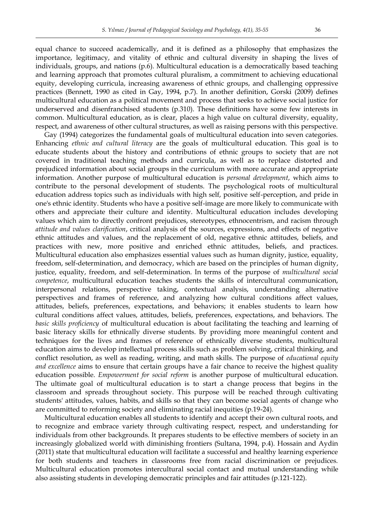equal chance to succeed academically, and it is defined as a philosophy that emphasizes the importance, legitimacy, and vitality of ethnic and cultural diversity in shaping the lives of individuals, groups, and nations (p.6). Multicultural education is a democratically based teaching and learning approach that promotes cultural pluralism, a commitment to achieving educational equity, developing curricula, increasing awareness of ethnic groups, and challenging oppressive practices (Bennett, 1990 as cited in Gay, 1994, p.7). In another definition, Gorski (2009) defines multicultural education as a political movement and process that seeks to achieve social justice for underserved and disenfranchised students (p.310). These definitions have some few interests in common. Multicultural education, as is clear, places a high value on cultural diversity, equality, respect, and awareness of other cultural structures, as well as raising persons with this perspective.

Gay (1994) categorizes the fundamental goals of multicultural education into seven categories. Enhancing *ethnic and cultural literacy* are the goals of multicultural education. This goal is to educate students about the history and contributions of ethnic groups to society that are not covered in traditional teaching methods and curricula, as well as to replace distorted and prejudiced information about social groups in the curriculum with more accurate and appropriate information. Another purpose of multicultural education is *personal development*, which aims to contribute to the personal development of students. The psychological roots of multicultural education address topics such as individuals with high self, positive self-perception, and pride in one's ethnic identity. Students who have a positive self-image are more likely to communicate with others and appreciate their culture and identity. Multicultural education includes developing values which aim to directly confront prejudices, stereotypes, ethnocentrism, and racism through *attitude and values clarification*, critical analysis of the sources, expressions, and effects of negative ethnic attitudes and values, and the replacement of old, negative ethnic attitudes, beliefs, and practices with new, more positive and enriched ethnic attitudes, beliefs, and practices. Multicultural education also emphasizes essential values such as human dignity, justice, equality, freedom, self-determination, and democracy, which are based on the principles of human dignity, justice, equality, freedom, and self-determination. In terms of the purpose of *multicultural social competence*, multicultural education teaches students the skills of intercultural communication, interpersonal relations, perspective taking, contextual analysis, understanding alternative perspectives and frames of reference, and analyzing how cultural conditions affect values, attitudes, beliefs, preferences, expectations, and behaviors; it enables students to learn how cultural conditions affect values, attitudes, beliefs, preferences, expectations, and behaviors. The *basic skills proficiency* of multicultural education is about facilitating the teaching and learning of basic literacy skills for ethnically diverse students. By providing more meaningful content and techniques for the lives and frames of reference of ethnically diverse students, multicultural education aims to develop intellectual process skills such as problem solving, critical thinking, and conflict resolution, as well as reading, writing, and math skills. The purpose of *educational equity and excellence* aims to ensure that certain groups have a fair chance to receive the highest quality education possible. *Empowerment for social reform* is another purpose of multicultural education. The ultimate goal of multicultural education is to start a change process that begins in the classroom and spreads throughout society. This purpose will be reached through cultivating students' attitudes, values, habits, and skills so that they can become social agents of change who are committed to reforming society and eliminating racial inequities (p.19-24).

Multicultural education enables all students to identify and accept their own cultural roots, and to recognize and embrace variety through cultivating respect, respect, and understanding for individuals from other backgrounds. It prepares students to be effective members of society in an increasingly globalized world with diminishing frontiers (Sultana, 1994, p.4). Hossain and Aydin (2011) state that multicultural education will facilitate a successful and healthy learning experience for both students and teachers in classrooms free from racial discrimination or prejudices. Multicultural education promotes intercultural social contact and mutual understanding while also assisting students in developing democratic principles and fair attitudes (p.121-122).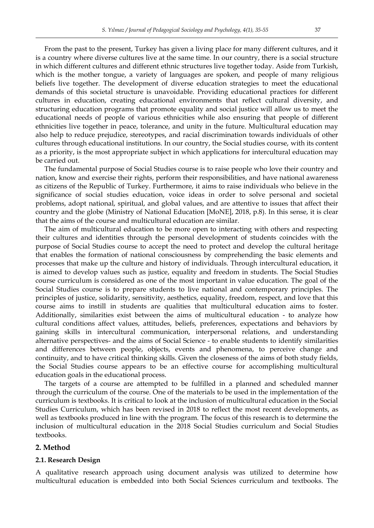From the past to the present, Turkey has given a living place for many different cultures, and it is a country where diverse cultures live at the same time. In our country, there is a social structure in which different cultures and different ethnic structures live together today. Aside from Turkish, which is the mother tongue, a variety of languages are spoken, and people of many religious beliefs live together. The development of diverse education strategies to meet the educational demands of this societal structure is unavoidable. Providing educational practices for different cultures in education, creating educational environments that reflect cultural diversity, and structuring education programs that promote equality and social justice will allow us to meet the educational needs of people of various ethnicities while also ensuring that people of different ethnicities live together in peace, tolerance, and unity in the future. Multicultural education may also help to reduce prejudice, stereotypes, and racial discrimination towards individuals of other cultures through educational institutions. In our country, the Social studies course, with its content as a priority, is the most appropriate subject in which applications for intercultural education may be carried out.

The fundamental purpose of Social Studies course is to raise people who love their country and nation, know and exercise their rights, perform their responsibilities, and have national awareness as citizens of the Republic of Turkey. Furthermore, it aims to raise individuals who believe in the significance of social studies education, voice ideas in order to solve personal and societal problems, adopt national, spiritual, and global values, and are attentive to issues that affect their country and the globe (Ministry of National Education [MoNE], 2018, p.8). In this sense, it is clear that the aims of the course and multicultural education are similar.

The aim of multicultural education to be more open to interacting with others and respecting their cultures and identities through the personal development of students coincides with the purpose of Social Studies course to accept the need to protect and develop the cultural heritage that enables the formation of national consciousness by comprehending the basic elements and processes that make up the culture and history of individuals. Through intercultural education, it is aimed to develop values such as justice, equality and freedom in students. The Social Studies course curriculum is considered as one of the most important in value education. The goal of the Social Studies course is to prepare students to live national and contemporary principles. The principles of justice, solidarity, sensitivity, aesthetics, equality, freedom, respect, and love that this course aims to instill in students are qualities that multicultural education aims to foster. Additionally, similarities exist between the aims of multicultural education - to analyze how cultural conditions affect values, attitudes, beliefs, preferences, expectations and behaviors by gaining skills in intercultural communication, interpersonal relations, and understanding alternative perspectives- and the aims of Social Science - to enable students to identify similarities and differences between people, objects, events and phenomena, to perceive change and continuity, and to have critical thinking skills. Given the closeness of the aims of both study fields, the Social Studies course appears to be an effective course for accomplishing multicultural education goals in the educational process.

The targets of a course are attempted to be fulfilled in a planned and scheduled manner through the curriculum of the course. One of the materials to be used in the implementation of the curriculum is textbooks. It is critical to look at the inclusion of multicultural education in the Social Studies Curriculum, which has been revised in 2018 to reflect the most recent developments, as well as textbooks produced in line with the program. The focus of this research is to determine the inclusion of multicultural education in the 2018 Social Studies curriculum and Social Studies textbooks.

#### **2. Method**

#### **2.1. Research Design**

A qualitative research approach using document analysis was utilized to determine how multicultural education is embedded into both Social Sciences curriculum and textbooks. The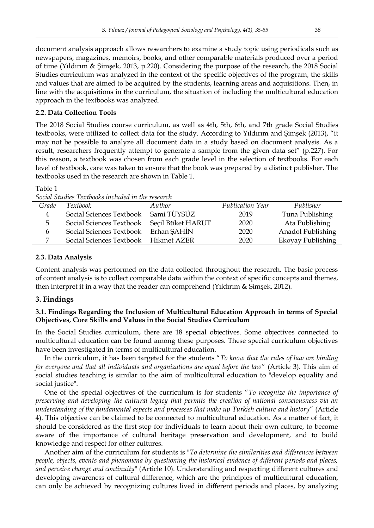document analysis approach allows researchers to examine a study topic using periodicals such as newspapers, magazines, memoirs, books, and other comparable materials produced over a period of time (Yıldırım & Şimşek, 2013, p.220). Considering the purpose of the research, the 2018 Social Studies curriculum was analyzed in the context of the specific objectives of the program, the skills and values that are aimed to be acquired by the students, learning areas and acquisitions. Then, in line with the acquisitions in the curriculum, the situation of including the multicultural education approach in the textbooks was analyzed.

## **2.2. Data Collection Tools**

The 2018 Social Studies course curriculum, as well as 4th, 5th, 6th, and 7th grade Social Studies textbooks, were utilized to collect data for the study. According to Yıldırım and Şimşek (2013), "it may not be possible to analyze all document data in a study based on document analysis. As a result, researchers frequently attempt to generate a sample from the given data set" (p.227). For this reason, a textbook was chosen from each grade level in the selection of textbooks. For each level of textbook, care was taken to ensure that the book was prepared by a distinct publisher. The textbooks used in the research are shown in Table 1.

Table 1

*Social Studies Textbooks included in the research*

| Grade | <i>Textbook</i>                            | Author | Publication Year | Publisher         |
|-------|--------------------------------------------|--------|------------------|-------------------|
| 4     | Social Sciences Textbook Sami TÜYSÜZ       |        | 2019             | Tuna Publishing   |
| b.    | Social Sciences Textbook Seçil Büket HARUT |        | 2020             | Ata Publishing    |
| b     | Social Sciences Textbook Erhan SAHIN       |        | 2020             | Anadol Publishing |
|       | Social Sciences Textbook Hikmet AZER       |        | 2020             | Ekoyay Publishing |

## **2.3. Data Analysis**

Content analysis was performed on the data collected throughout the research. The basic process of content analysis is to collect comparable data within the context of specific concepts and themes, then interpret it in a way that the reader can comprehend (Yıldırım & Şimşek, 2012).

## **3. Findings**

## **3.1. Findings Regarding the Inclusion of Multicultural Education Approach in terms of Special Objectives, Core Skills and Values in the Social Studies Curriculum**

In the Social Studies curriculum, there are 18 special objectives. Some objectives connected to multicultural education can be found among these purposes. These special curriculum objectives have been investigated in terms of multicultural education.

In the curriculum, it has been targeted for the students "*To know that the rules of law are binding for everyone and that all individuals and organizations are equal before the law*" (Article 3). This aim of social studies teaching is similar to the aim of multicultural education to "develop equality and social justice".

One of the special objectives of the curriculum is for students "*To recognize the importance of preserving and developing the cultural legacy that permits the creation of national consciousness via an understanding of the fundamental aspects and processes that make up Turkish culture and history*" (Article 4). This objective can be claimed to be connected to multicultural education. As a matter of fact, it should be considered as the first step for individuals to learn about their own culture, to become aware of the importance of cultural heritage preservation and development, and to build knowledge and respect for other cultures.

Another aim of the curriculum for students is "*To determine the similarities and differences between people, objects, events and phenomena by questioning the historical evidence of different periods and places, and perceive change and continuity*" (Article 10). Understanding and respecting different cultures and developing awareness of cultural difference, which are the principles of multicultural education, can only be achieved by recognizing cultures lived in different periods and places, by analyzing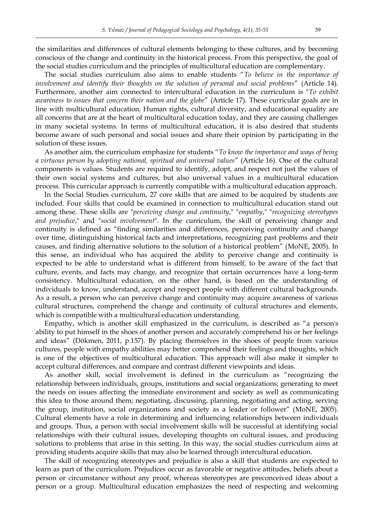the similarities and differences of cultural elements belonging to these cultures, and by becoming conscious of the change and continuity in the historical process. From this perspective, the goal of the social studies curriculum and the principles of multicultural education are complementary.

The social studies curriculum also aims to enable students "*To believe in the importance of involvement and identify their thoughts on the solution of personal and social problems*" (Article 14). Furthermore, another aim connected to intercultural education in the curriculum is "*To exhibit awareness to issues that concern their nation and the globe*" (Article 17). These curricular goals are in line with multicultural education. Human rights, cultural diversity, and educational equality are all concerns that are at the heart of multicultural education today, and they are causing challenges in many societal systems. In terms of multicultural education, it is also desired that students become aware of such personal and social issues and share their opinion by participating in the solution of these issues.

As another aim, the curriculum emphasize for students "*To know the importance and ways of being a virtuous person by adopting national, spiritual and universal values*" (Article 16). One of the cultural components is values. Students are required to identify, adopt, and respect not just the values of their own social systems and cultures, but also universal values in a multicultural education process. This curricular approach is currently compatible with a multicultural education approach.

In the Social Studies curriculum, 27 core skills that are aimed to be acquired by students are included. Four skills that could be examined in connection to multicultural education stand out among these. These skills are "*perceiving change and continuity*," "*empathy*," "*recognizing stereotypes and prejudice*," and "*social involvement*". In the curriculum, the skill of perceiving change and continuity is defined as "finding similarities and differences, perceiving continuity and change over time, distinguishing historical facts and interpretations, recognizing past problems and their causes, and finding alternative solutions to the solution of a historical problem" (MoNE, 2005). In this sense, an individual who has acquired the ability to perceive change and continuity is expected to be able to understand what is different from himself, to be aware of the fact that culture, events, and facts may change, and recognize that certain occurrences have a long-term consistency. Multicultural education, on the other hand, is based on the understanding of individuals to know, understand, accept and respect people with different cultural backgrounds. As a result, a person who can perceive change and continuity may acquire awareness of various cultural structures, comprehend the change and continuity of cultural structures and elements, which is compatible with a multicultural education understanding.

Empathy, which is another skill emphasized in the curriculum, is described as "a person's ability to put himself in the shoes of another person and accurately comprehend his or her feelings and ideas" (Dökmen, 2011, p.157). By placing themselves in the shoes of people from various cultures, people with empathy abilities may better comprehend their feelings and thoughts, which is one of the objectives of multicultural education. This approach will also make it simpler to accept cultural differences, and compare and contrast different viewpoints and ideas.

As another skill, social involvement is defined in the curriculum as "recognizing the relationship between individuals, groups, institutions and social organizations; generating to meet the needs on issues affecting the immediate environment and society as well as communicating this idea to those around them; negotiating, discussing, planning, negotiating and acting, serving the group, institution, social organizations and society as a leader or follower" (MoNE, 2005). Cultural elements have a role in determining and influencing relationships between individuals and groups. Thus, a person with social involvement skills will be successful at identifying social relationships with their cultural issues, developing thoughts on cultural issues, and producing solutions to problems that arise in this setting. In this way, the social studies curriculum aims at providing students acquire skills that may also be learned through intercultural education.

The skill of recognizing stereotypes and prejudice is also a skill that students are expected to learn as part of the curriculum. Prejudices occur as favorable or negative attitudes, beliefs about a person or circumstance without any proof, whereas stereotypes are preconceived ideas about a person or a group. Multicultural education emphasizes the need of respecting and welcoming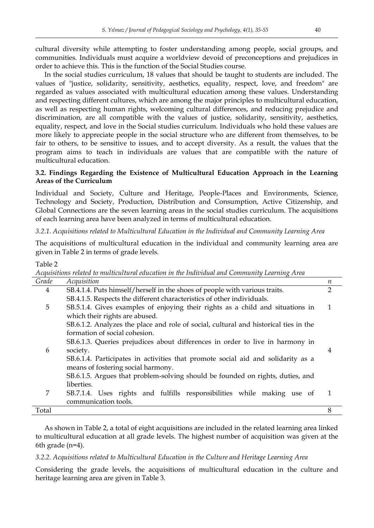cultural diversity while attempting to foster understanding among people, social groups, and communities. Individuals must acquire a worldview devoid of preconceptions and prejudices in order to achieve this. This is the function of the Social Studies course.

In the social studies curriculum, 18 values that should be taught to students are included. The values of "justice, solidarity, sensitivity, aesthetics, equality, respect, love, and freedom" are regarded as values associated with multicultural education among these values. Understanding and respecting different cultures, which are among the major principles to multicultural education, as well as respecting human rights, welcoming cultural differences, and reducing prejudice and discrimination, are all compatible with the values of justice, solidarity, sensitivity, aesthetics, equality, respect, and love in the Social studies curriculum. Individuals who hold these values are more likely to appreciate people in the social structure who are different from themselves, to be fair to others, to be sensitive to issues, and to accept diversity. As a result, the values that the program aims to teach in individuals are values that are compatible with the nature of multicultural education.

## **3.2. Findings Regarding the Existence of Multicultural Education Approach in the Learning Areas of the Curriculum**

Individual and Society, Culture and Heritage, People-Places and Environments, Science, Technology and Society, Production, Distribution and Consumption, Active Citizenship, and Global Connections are the seven learning areas in the social studies curriculum. The acquisitions of each learning area have been analyzed in terms of multicultural education.

## *3.2.1. Acquisitions related to Multicultural Education in the Individual and Community Learning Area*

The acquisitions of multicultural education in the individual and community learning area are given in Table 2 in terms of grade levels.

Table 2

| where to interretention we confederate the theo financements where commenting Bowlining from |                                                                                  |  |
|----------------------------------------------------------------------------------------------|----------------------------------------------------------------------------------|--|
| Acquisition                                                                                  | n                                                                                |  |
| SB.4.1.4. Puts himself/herself in the shoes of people with various traits.                   | $\overline{2}$                                                                   |  |
| SB.4.1.5. Respects the different characteristics of other individuals.                       |                                                                                  |  |
| SB.5.1.4. Gives examples of enjoying their rights as a child and situations in               | 1                                                                                |  |
| which their rights are abused.                                                               |                                                                                  |  |
| SB.6.1.2. Analyzes the place and role of social, cultural and historical ties in the         |                                                                                  |  |
| formation of social cohesion.                                                                |                                                                                  |  |
| SB.6.1.3. Queries prejudices about differences in order to live in harmony in                |                                                                                  |  |
| society.                                                                                     | 4                                                                                |  |
|                                                                                              |                                                                                  |  |
| means of fostering social harmony.                                                           |                                                                                  |  |
| SB.6.1.5. Argues that problem-solving should be founded on rights, duties, and               |                                                                                  |  |
| liberties.                                                                                   |                                                                                  |  |
| SB.7.1.4. Uses rights and fulfills responsibilities while making use of                      | 1                                                                                |  |
| communication tools.                                                                         |                                                                                  |  |
|                                                                                              | 8                                                                                |  |
|                                                                                              | SB.6.1.4. Participates in activities that promote social aid and solidarity as a |  |

*Acquisitions related to multicultural education in the Individual and Community Learning Area*

As shown in Table 2, a total of eight acquisitions are included in the related learning area linked to multicultural education at all grade levels. The highest number of acquisition was given at the 6th grade (n=4).

### *3.2.2. Acquisitions related to Multicultural Education in the Culture and Heritage Learning Area*

Considering the grade levels, the acquisitions of multicultural education in the culture and heritage learning area are given in Table 3.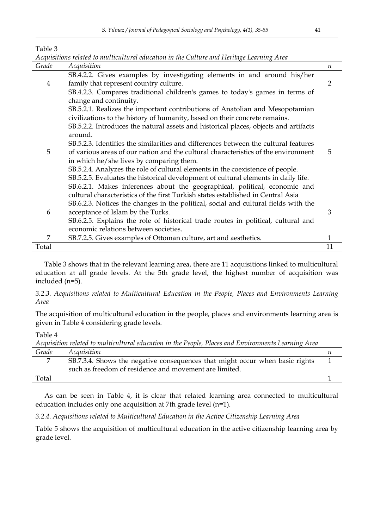Table 3

| Acquisitions related to multicultural education in the Culture and Heritage Learning Area |                                                                                                                    |                  |  |
|-------------------------------------------------------------------------------------------|--------------------------------------------------------------------------------------------------------------------|------------------|--|
| Grade                                                                                     | Acquisition                                                                                                        | $\boldsymbol{n}$ |  |
| 4                                                                                         | SB.4.2.2. Gives examples by investigating elements in and around his/her<br>family that represent country culture. | 2                |  |
|                                                                                           | SB.4.2.3. Compares traditional children's games to today's games in terms of                                       |                  |  |
|                                                                                           | change and continuity.                                                                                             |                  |  |
|                                                                                           | SB.5.2.1. Realizes the important contributions of Anatolian and Mesopotamian                                       |                  |  |
|                                                                                           | civilizations to the history of humanity, based on their concrete remains.                                         |                  |  |
|                                                                                           | SB.5.2.2. Introduces the natural assets and historical places, objects and artifacts<br>around.                    |                  |  |
|                                                                                           | SB.5.2.3. Identifies the similarities and differences between the cultural features                                |                  |  |
| 5                                                                                         | of various areas of our nation and the cultural characteristics of the environment                                 | 5                |  |
|                                                                                           | in which he/she lives by comparing them.                                                                           |                  |  |
|                                                                                           | SB.5.2.4. Analyzes the role of cultural elements in the coexistence of people.                                     |                  |  |
|                                                                                           | SB.5.2.5. Evaluates the historical development of cultural elements in daily life.                                 |                  |  |
|                                                                                           | SB.6.2.1. Makes inferences about the geographical, political, economic and                                         |                  |  |
|                                                                                           | cultural characteristics of the first Turkish states established in Central Asia                                   |                  |  |
|                                                                                           | SB.6.2.3. Notices the changes in the political, social and cultural fields with the                                |                  |  |
| 6                                                                                         | acceptance of Islam by the Turks.                                                                                  | 3                |  |
|                                                                                           | SB.6.2.5. Explains the role of historical trade routes in political, cultural and                                  |                  |  |
|                                                                                           | economic relations between societies.                                                                              |                  |  |
| 7                                                                                         | SB.7.2.5. Gives examples of Ottoman culture, art and aesthetics.                                                   | 1                |  |
| Total                                                                                     |                                                                                                                    | 11               |  |

Table 3 shows that in the relevant learning area, there are 11 acquisitions linked to multicultural education at all grade levels. At the 5th grade level, the highest number of acquisition was included (n=5).

*3.2.3. Acquisitions related to Multicultural Education in the People, Places and Environments Learning Area*

The acquisition of multicultural education in the people, places and environments learning area is given in Table 4 considering grade levels.

Table 4

*Acquisition related to multicultural education in the People, Places and Environments Learning Area*

| Grade | Acquisition                                                                  |  |
|-------|------------------------------------------------------------------------------|--|
|       | SB.7.3.4. Shows the negative consequences that might occur when basic rights |  |
|       | such as freedom of residence and movement are limited.                       |  |
| Total |                                                                              |  |

As can be seen in Table 4, it is clear that related learning area connected to multicultural education includes only one acquisition at 7th grade level (n=1).

*3.2.4. Acquisitions related to Multicultural Education in the Active Citizenship Learning Area*

Table 5 shows the acquisition of multicultural education in the active citizenship learning area by grade level.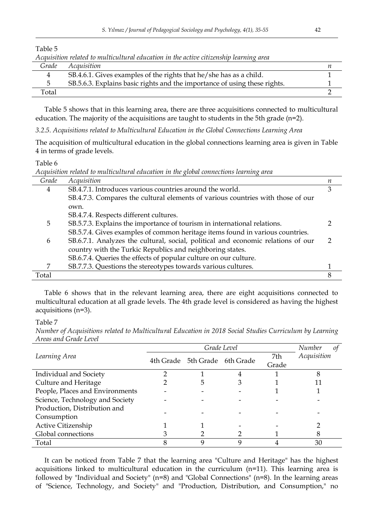| Acquisition related to multicultural education in the active citizenship learning area |                                                                           |  |  |
|----------------------------------------------------------------------------------------|---------------------------------------------------------------------------|--|--|
| Grade                                                                                  | Acquisition                                                               |  |  |
|                                                                                        | SB.4.6.1. Gives examples of the rights that he/she has as a child.        |  |  |
| 5                                                                                      | SB.5.6.3. Explains basic rights and the importance of using these rights. |  |  |
| Total                                                                                  |                                                                           |  |  |

Table 5 shows that in this learning area, there are three acquisitions connected to multicultural education. The majority of the acquisitions are taught to students in the 5th grade (n=2).

*3.2.5. Acquisitions related to Multicultural Education in the Global Connections Learning Area*

The acquisition of multicultural education in the global connections learning area is given in Table 4 in terms of grade levels.

#### Table 6

Table 5

*Acquisition related to multicultural education in the global connections learning area*

|       | Traditional return to method and the culture of the the Trough controlled temperate when |   |
|-------|------------------------------------------------------------------------------------------|---|
| Grade | Acquisition                                                                              | п |
| 4     | SB.4.7.1. Introduces various countries around the world.                                 | 3 |
|       | SB.4.7.3. Compares the cultural elements of various countries with those of our          |   |
|       | own.                                                                                     |   |
|       | SB.4.7.4. Respects different cultures.                                                   |   |
| 5     | SB.5.7.3. Explains the importance of tourism in international relations.                 |   |
|       | SB.5.7.4. Gives examples of common heritage items found in various countries.            |   |
| 6     | SB.6.7.1. Analyzes the cultural, social, political and economic relations of our         |   |
|       | country with the Turkic Republics and neighboring states.                                |   |
|       | SB.6.7.4. Queries the effects of popular culture on our culture.                         |   |
| 7     | SB.7.7.3. Questions the stereotypes towards various cultures.                            |   |
| Total |                                                                                          | 8 |

Table 6 shows that in the relevant learning area, there are eight acquisitions connected to multicultural education at all grade levels. The 4th grade level is considered as having the highest acquisitions (n=3).

#### Table 7

*Number of Acquisitions related to Multicultural Education in 2018 Social Studies Curriculum by Learning Areas and Grade Level* 

|                                 | Grade Level |                               |  |       | Number<br>0t |
|---------------------------------|-------------|-------------------------------|--|-------|--------------|
| Learning Area                   |             | 4th Grade 5th Grade 6th Grade |  | 7th   | Acquisition  |
|                                 |             |                               |  | Grade |              |
| Individual and Society          |             |                               |  |       |              |
| Culture and Heritage            |             |                               |  |       |              |
| People, Places and Environments |             |                               |  |       |              |
| Science, Technology and Society |             |                               |  |       |              |
| Production, Distribution and    |             |                               |  |       |              |
| Consumption                     |             |                               |  |       |              |
| Active Citizenship              |             |                               |  |       |              |
| Global connections              |             |                               |  |       |              |
| Total                           |             |                               |  |       | 30           |

It can be noticed from Table 7 that the learning area "Culture and Heritage" has the highest acquisitions linked to multicultural education in the curriculum (n=11). This learning area is followed by "Individual and Society" (n=8) and "Global Connections" (n=8). In the learning areas of "Science, Technology, and Society" and "Production, Distribution, and Consumption," no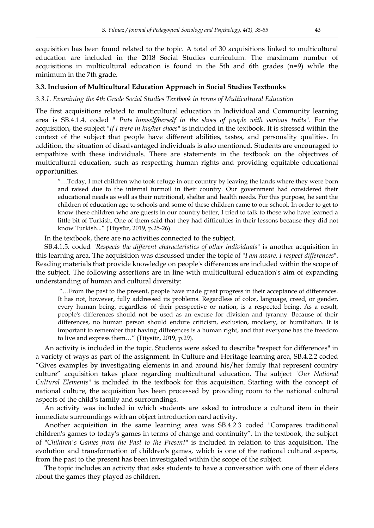acquisitions in multicultural education is found in the 5th and 6th grades (n=9) while the

## **3.3. Inclusion of Multicultural Education Approach in Social Studies Textbooks**

minimum in the 7th grade.

## *3.3.1. Examining the 4th Grade Social Studies Textbook in terms of Multicultural Education*

The first acquisitions related to multicultural education in Individual and Community learning area is SB.4.1.4. coded " *Puts himself/herself in the shoes of people with various traits*". For the acquisition, the subject "*If I were in his/her shoes*" is included in the textbook. It is stressed within the context of the subject that people have different abilities, tastes, and personality qualities. In addition, the situation of disadvantaged individuals is also mentioned. Students are encouraged to empathize with these individuals. There are statements in the textbook on the objectives of multicultural education, such as respecting human rights and providing equitable educational opportunities.

"…Today, I met children who took refuge in our country by leaving the lands where they were born and raised due to the internal turmoil in their country. Our government had considered their educational needs as well as their nutritional, shelter and health needs. For this purpose, he sent the children of education age to schools and some of these children came to our school. In order to get to know these children who are guests in our country better, I tried to talk to those who have learned a little bit of Turkish. One of them said that they had difficulties in their lessons because they did not know Turkish..." (Tüysüz, 2019, p.25-26).

In the textbook, there are no activities connected to the subject.

SB.4.1.5. coded "*Respects the different characteristics of other individuals*" is another acquisition in this learning area. The acquisition was discussed under the topic of "*I am aware, I respect differences*". Reading materials that provide knowledge on people's differences are included within the scope of the subject. The following assertions are in line with multicultural education's aim of expanding understanding of human and cultural diversity:

"…From the past to the present, people have made great progress in their acceptance of differences. It has not, however, fully addressed its problems. Regardless of color, language, creed, or gender, every human being, regardless of their perspective or nation, is a respected being. As a result, people's differences should not be used as an excuse for division and tyranny. Because of their differences, no human person should endure criticism, exclusion, mockery, or humiliation. It is important to remember that having differences is a human right, and that everyone has the freedom to live and express them…" (Tüysüz, 2019, p.29).

An activity is included in the topic. Students were asked to describe "respect for differences" in a variety of ways as part of the assignment. In Culture and Heritage learning area, SB.4.2.2 coded "Gives examples by investigating elements in and around his/her family that represent country culture" acquisition takes place regarding multicultural education. The subject "*Our National Cultural Elements*" is included in the textbook for this acquisition. Starting with the concept of national culture, the acquisition has been processed by providing room to the national cultural aspects of the child's family and surroundings.

An activity was included in which students are asked to introduce a cultural item in their immediate surroundings with an object introduction card activity.

Another acquisition in the same learning area was SB.4.2.3 coded "Compares traditional children's games to today's games in terms of change and continuity". In the textbook, the subject of "*Children's Games from the Past to the Present*" is included in relation to this acquisition. The evolution and transformation of children's games, which is one of the national cultural aspects, from the past to the present has been investigated within the scope of the subject.

The topic includes an activity that asks students to have a conversation with one of their elders about the games they played as children.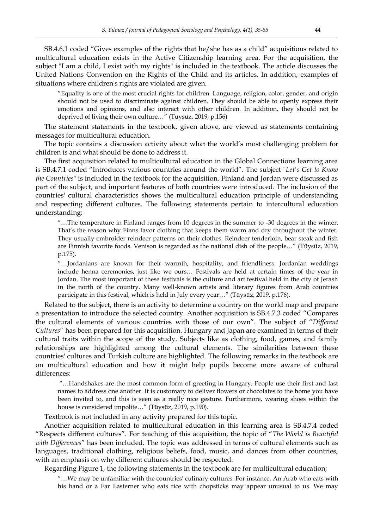SB.4.6.1 coded "Gives examples of the rights that he/she has as a child" acquisitions related to multicultural education exists in the Active Citizenship learning area. For the acquisition, the subject "I am a child, I exist with my rights" is included in the textbook. The article discusses the United Nations Convention on the Rights of the Child and its articles. In addition, examples of situations where children's rights are violated are given.

"Equality is one of the most crucial rights for children. Language, religion, color, gender, and origin should not be used to discriminate against children. They should be able to openly express their emotions and opinions, and also interact with other children. In addition, they should not be deprived of living their own culture…" (Tüysüz, 2019, p.156)

The statement statements in the textbook, given above, are viewed as statements containing messages for multicultural education.

The topic contains a discussion activity about what the world's most challenging problem for children is and what should be done to address it.

The first acquisition related to multicultural education in the Global Connections learning area is SB.4.7.1 coded "Introduces various countries around the world". The subject "*Let's Get to Know the Countries*" is included in the textbook for the acquisition. Finland and Jordan were discussed as part of the subject, and important features of both countries were introduced. The inclusion of the countries' cultural characteristics shows the multicultural education principle of understanding and respecting different cultures. The following statements pertain to intercultural education understanding:

"…The temperature in Finland ranges from 10 degrees in the summer to -30 degrees in the winter. That's the reason why Finns favor clothing that keeps them warm and dry throughout the winter. They usually embroider reindeer patterns on their clothes. Reindeer tenderloin, bear steak and fish are Finnish favorite foods. Venison is regarded as the national dish of the people…" (Tüysüz, 2019, p.175).

"…Jordanians are known for their warmth, hospitality, and friendliness. Jordanian weddings include henna ceremonies, just like we ours… Festivals are held at certain times of the year in Jordan. The most important of these festivals is the culture and art festival held in the city of Jerash in the north of the country. Many well-known artists and literary figures from Arab countries participate in this festival, which is held in July every year…" (Tüysüz, 2019, p.176).

Related to the subject, there is an activity to determine a country on the world map and prepare a presentation to introduce the selected country. Another acquisition is SB.4.7.3 coded "Compares the cultural elements of various countries with those of our own". The subject of "*Different Cultures*" has been prepared for this acquisition. Hungary and Japan are examined in terms of their cultural traits within the scope of the study. Subjects like as clothing, food, games, and family relationships are highlighted among the cultural elements. The similarities between these countries' cultures and Turkish culture are highlighted. The following remarks in the textbook are on multicultural education and how it might help pupils become more aware of cultural differences:

"…Handshakes are the most common form of greeting in Hungary. People use their first and last names to address one another. It is customary to deliver flowers or chocolates to the home you have been invited to, and this is seen as a really nice gesture. Furthermore, wearing shoes within the house is considered impolite…" (Tüysüz, 2019, p.190).

Textbook is not included in any activity prepared for this topic.

Another acquisition related to multicultural education in this learning area is SB.4.7.4 coded "Respects different cultures". For teaching of this acquisition, the topic of "*The World is Beautiful with Differences*" has been included. The topic was addressed in terms of cultural elements such as languages, traditional clothing, religious beliefs, food, music, and dances from other countries, with an emphasis on why different cultures should be respected.

Regarding Figure 1, the following statements in the textbook are for multicultural education;

"…We may be unfamiliar with the countries' culinary cultures. For instance, An Arab who eats with his hand or a Far Easterner who eats rice with chopsticks may appear unusual to us. We may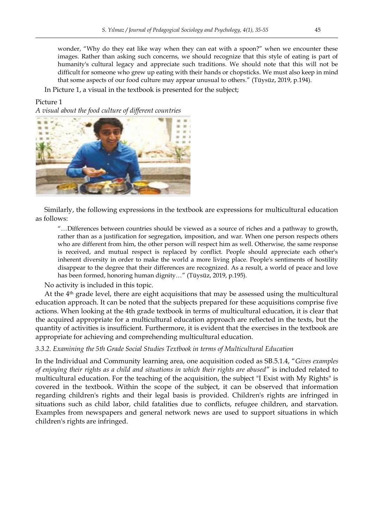wonder, "Why do they eat like way when they can eat with a spoon?" when we encounter these images. Rather than asking such concerns, we should recognize that this style of eating is part of humanity's cultural legacy and appreciate such traditions. We should note that this will not be difficult for someone who grew up eating with their hands or chopsticks. We must also keep in mind that some aspects of our food culture may appear unusual to others." (Tüysüz, 2019, p.194).

In Picture 1, a visual in the textbook is presented for the subject;

### Picture 1

*A visual about the food culture of different countries*



Similarly, the following expressions in the textbook are expressions for multicultural education as follows:

"…Differences between countries should be viewed as a source of riches and a pathway to growth, rather than as a justification for segregation, imposition, and war. When one person respects others who are different from him, the other person will respect him as well. Otherwise, the same response is received, and mutual respect is replaced by conflict. People should appreciate each other's inherent diversity in order to make the world a more living place. People's sentiments of hostility disappear to the degree that their differences are recognized. As a result, a world of peace and love has been formed, honoring human dignity…" (Tüysüz, 2019, p.195).

No activity is included in this topic.

At the  $4<sup>th</sup>$  grade level, there are eight acquisitions that may be assessed using the multicultural education approach. It can be noted that the subjects prepared for these acquisitions comprise five actions. When looking at the 4th grade textbook in terms of multicultural education, it is clear that the acquired appropriate for a multicultural education approach are reflected in the texts, but the quantity of activities is insufficient. Furthermore, it is evident that the exercises in the textbook are appropriate for achieving and comprehending multicultural education.

*3.3.2. Examining the 5th Grade Social Studies Textbook in terms of Multicultural Education*

In the Individual and Community learning area, one acquisition coded as SB.5.1.4, "*Gives examples of enjoying their rights as a child and situations in which their rights are abused*" is included related to multicultural education. For the teaching of the acquisition, the subject "I Exist with My Rights" is covered in the textbook. Within the scope of the subject, it can be observed that information regarding children's rights and their legal basis is provided. Children's rights are infringed in situations such as child labor, child fatalities due to conflicts, refugee children, and starvation. Examples from newspapers and general network news are used to support situations in which children's rights are infringed.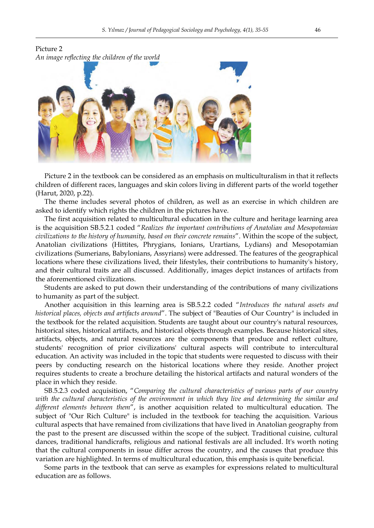

Picture 2 in the textbook can be considered as an emphasis on multiculturalism in that it reflects children of different races, languages and skin colors living in different parts of the world together (Harut, 2020, p.22).

The theme includes several photos of children, as well as an exercise in which children are asked to identify which rights the children in the pictures have.

The first acquisition related to multicultural education in the culture and heritage learning area is the acquisition SB.5.2.1 coded "*Realizes the important contributions of Anatolian and Mesopotamian civilizations to the history of humanity, based on their concrete remains*". Within the scope of the subject, Anatolian civilizations (Hittites, Phrygians, Ionians, Urartians, Lydians) and Mesopotamian civilizations (Sumerians, Babylonians, Assyrians) were addressed. The features of the geographical locations where these civilizations lived, their lifestyles, their contributions to humanity's history, and their cultural traits are all discussed. Additionally, images depict instances of artifacts from the aforementioned civilizations.

Students are asked to put down their understanding of the contributions of many civilizations to humanity as part of the subject.

Another acquisition in this learning area is SB.5.2.2 coded "*Introduces the natural assets and historical places, objects and artifacts around*". The subject of "Beauties of Our Country" is included in the textbook for the related acquisition. Students are taught about our country's natural resources, historical sites, historical artifacts, and historical objects through examples. Because historical sites, artifacts, objects, and natural resources are the components that produce and reflect culture, students' recognition of prior civilizations' cultural aspects will contribute to intercultural education. An activity was included in the topic that students were requested to discuss with their peers by conducting research on the historical locations where they reside. Another project requires students to create a brochure detailing the historical artifacts and natural wonders of the place in which they reside.

SB.5.2.3 coded acquisition, "*Comparing the cultural characteristics of various parts of our country with the cultural characteristics of the environment in which they live and determining the similar and different elements between them*", is another acquisition related to multicultural education. The subject of "Our Rich Culture" is included in the textbook for teaching the acquisition. Various cultural aspects that have remained from civilizations that have lived in Anatolian geography from the past to the present are discussed within the scope of the subject. Traditional cuisine, cultural dances, traditional handicrafts, religious and national festivals are all included. It's worth noting that the cultural components in issue differ across the country, and the causes that produce this variation are highlighted. In terms of multicultural education, this emphasis is quite beneficial.

Some parts in the textbook that can serve as examples for expressions related to multicultural education are as follows.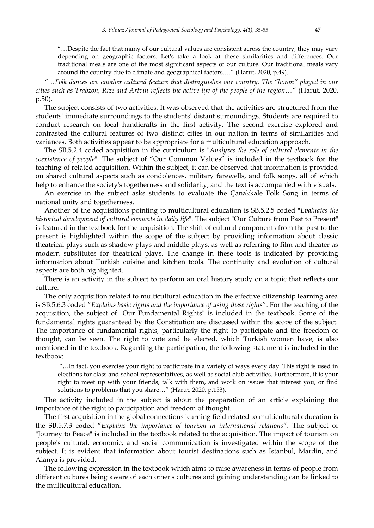"…Despite the fact that many of our cultural values are consistent across the country, they may vary depending on geographic factors. Let's take a look at these similarities and differences. Our traditional meals are one of the most significant aspects of our culture. Our traditional meals vary around the country due to climate and geographical factors.…" (Harut, 2020, p.49).

*"…Folk dances are another cultural feature that distinguishes our country. The "horon" played in our cities such as Trabzon, Rize and Artvin reflects the active life of the people of the region…*" (Harut, 2020, p.50).

The subject consists of two activities. It was observed that the activities are structured from the students' immediate surroundings to the students' distant surroundings. Students are required to conduct research on local handicrafts in the first activity. The second exercise explored and contrasted the cultural features of two distinct cities in our nation in terms of similarities and variances. Both activities appear to be appropriate for a multicultural education approach.

The SB.5.2.4 coded acquisition in the curriculum is "*Analyzes the role of cultural elements in the coexistence of people*". The subject of "Our Common Values" is included in the textbook for the teaching of related acquisition. Within the subject, it can be observed that information is provided on shared cultural aspects such as condolences, military farewells, and folk songs, all of which help to enhance the society's togetherness and solidarity, and the text is accompanied with visuals.

An exercise in the subject asks students to evaluate the Çanakkale Folk Song in terms of national unity and togetherness.

Another of the acquisitions pointing to multicultural education is SB.5.2.5 coded "*Evaluates the historical development of cultural elements in daily life*". The subject "Our Culture from Past to Present" is featured in the textbook for the acquisition. The shift of cultural components from the past to the present is highlighted within the scope of the subject by providing information about classic theatrical plays such as shadow plays and middle plays, as well as referring to film and theater as modern substitutes for theatrical plays. The change in these tools is indicated by providing information about Turkish cuisine and kitchen tools. The continuity and evolution of cultural aspects are both highlighted.

There is an activity in the subject to perform an oral history study on a topic that reflects our culture.

The only acquisition related to multicultural education in the effective citizenship learning area is SB.5.6.3 coded "*Explains basic rights and the importance of using these rights*". For the teaching of the acquisition, the subject of "Our Fundamental Rights" is included in the textbook. Some of the fundamental rights guaranteed by the Constitution are discussed within the scope of the subject. The importance of fundamental rights, particularly the right to participate and the freedom of thought, can be seen. The right to vote and be elected, which Turkish women have, is also mentioned in the textbook. Regarding the participation, the following statement is included in the textboox:

"…In fact, you exercise your right to participate in a variety of ways every day. This right is used in elections for class and school representatives, as well as social club activities. Furthermore, it is your right to meet up with your friends, talk with them, and work on issues that interest you, or find solutions to problems that you share…" (Harut, 2020, p.153).

The activity included in the subject is about the preparation of an article explaining the importance of the right to participation and freedom of thought.

The first acquisition in the global connections learning field related to multicultural education is the SB.5.7.3 coded "*Explains the importance of tourism in international relations*". The subject of "Journey to Peace" is included in the textbook related to the acquisition. The impact of tourism on people's cultural, economic, and social communication is investigated within the scope of the subject. It is evident that information about tourist destinations such as Istanbul, Mardin, and Alanya is provided.

The following expression in the textbook which aims to raise awareness in terms of people from different cultures being aware of each other's cultures and gaining understanding can be linked to the multicultural education.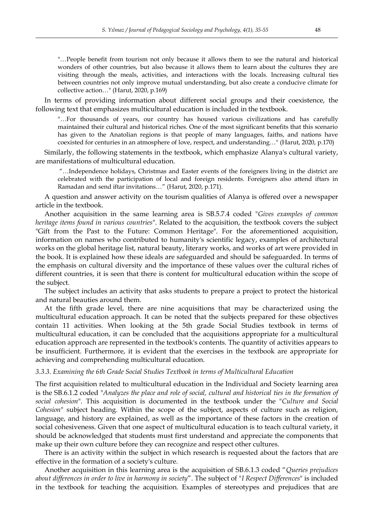"…People benefit from tourism not only because it allows them to see the natural and historical wonders of other countries, but also because it allows them to learn about the cultures they are visiting through the meals, activities, and interactions with the locals. Increasing cultural ties between countries not only improve mutual understanding, but also create a conducive climate for collective action…" (Harut, 2020, p.169)

In terms of providing information about different social groups and their coexistence, the following text that emphasizes multicultural education is included in the textbook.

"…For thousands of years, our country has housed various civilizations and has carefully maintained their cultural and historical riches. One of the most significant benefits that this scenario has given to the Anatolian regions is that people of many languages, faiths, and nations have coexisted for centuries in an atmosphere of love, respect, and understanding…" (Harut, 2020, p.170)

Similarly, the following statements in the textbook, which emphasize Alanya's cultural variety, are manifestations of multicultural education.

"…Independence holidays, Christmas and Easter events of the foreigners living in the district are celebrated with the participation of local and foreign residents. Foreigners also attend iftars in Ramadan and send iftar invitations…" (Harut, 2020, p.171).

A question and answer activity on the tourism qualities of Alanya is offered over a newspaper article in the textbook.

Another acquisition in the same learning area is SB.5.7.4 coded "*Gives examples of common heritage items found in various countries*". Related to the acquisition, the textbook covers the subject "Gift from the Past to the Future: Common Heritage". For the aforementioned acquisition, information on names who contributed to humanity's scientific legacy, examples of architectural works on the global heritage list, natural beauty, literary works, and works of art were provided in the book. It is explained how these ideals are safeguarded and should be safeguarded. In terms of the emphasis on cultural diversity and the importance of these values over the cultural riches of different countries, it is seen that there is content for multicultural education within the scope of the subject.

The subject includes an activity that asks students to prepare a project to protect the historical and natural beauties around them.

At the fifth grade level, there are nine acquisitions that may be characterized using the multicultural education approach. It can be noted that the subjects prepared for these objectives contain 11 activities. When looking at the 5th grade Social Studies textbook in terms of multicultural education, it can be concluded that the acquisitions appropriate for a multicultural education approach are represented in the textbook's contents. The quantity of activities appears to be insufficient. Furthermore, it is evident that the exercises in the textbook are appropriate for achieving and comprehending multicultural education.

#### *3.3.3. Examining the 6th Grade Social Studies Textbook in terms of Multicultural Education*

The first acquisition related to multicultural education in the Individual and Society learning area is the SB.6.1.2 coded "*Analyzes the place and role of social, cultural and historical ties in the formation of social cohesion*". This acquisition is documented in the textbook under the "*Culture and Social Cohesion*" subject heading. Within the scope of the subject, aspects of culture such as religion, language, and history are explained, as well as the importance of these factors in the creation of social cohesiveness. Given that one aspect of multicultural education is to teach cultural variety, it should be acknowledged that students must first understand and appreciate the components that make up their own culture before they can recognize and respect other cultures.

There is an activity within the subject in which research is requested about the factors that are effective in the formation of a society's culture.

Another acquisition in this learning area is the acquisition of SB.6.1.3 coded "*Queries prejudices about differences in order to live in harmony in society*". The subject of "*I Respect Differences*" is included in the textbook for teaching the acquisition. Examples of stereotypes and prejudices that are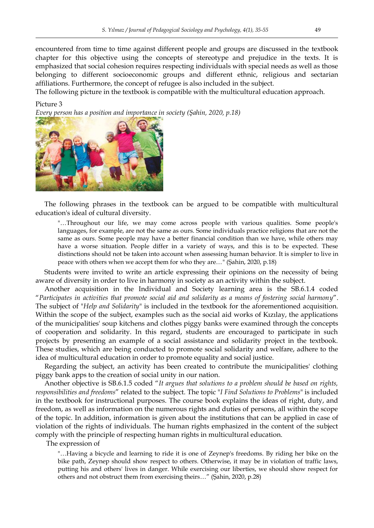encountered from time to time against different people and groups are discussed in the textbook chapter for this objective using the concepts of stereotype and prejudice in the texts. It is emphasized that social cohesion requires respecting individuals with special needs as well as those belonging to different socioeconomic groups and different ethnic, religious and sectarian affiliations. Furthermore, the concept of refugee is also included in the subject.

The following picture in the textbook is compatible with the multicultural education approach.

#### Picture 3

*Every person has a position and importance in society (Şahin, 2020, p.18)*



The following phrases in the textbook can be argued to be compatible with multicultural education's ideal of cultural diversity.

"…Throughout our life, we may come across people with various qualities. Some people's languages, for example, are not the same as ours. Some individuals practice religions that are not the same as ours. Some people may have a better financial condition than we have, while others may have a worse situation. People differ in a variety of ways, and this is to be expected. These distinctions should not be taken into account when assessing human behavior. It is simpler to live in peace with others when we accept them for who they are…" (Şahin, 2020, p.18)

Students were invited to write an article expressing their opinions on the necessity of being aware of diversity in order to live in harmony in society as an activity within the subject.

Another acquisition in the Individual and Society learning area is the SB.6.1.4 coded "*Participates in activities that promote social aid and solidarity as a means of fostering social harmony*". The subject of "*Help and Solidarity*" is included in the textbook for the aforementioned acquisition. Within the scope of the subject, examples such as the social aid works of Kızılay, the applications of the municipalities' soup kitchens and clothes piggy banks were examined through the concepts of cooperation and solidarity. In this regard, students are encouraged to participate in such projects by presenting an example of a social assistance and solidarity project in the textbook. These studies, which are being conducted to promote social solidarity and welfare, adhere to the idea of multicultural education in order to promote equality and social justice.

Regarding the subject, an activity has been created to contribute the municipalities' clothing piggy bank apps to the creation of social unity in our nation.

Another objective is SB.6.1.5 coded "*It argues that solutions to a problem should be based on rights, responsibilities and freedoms*" related to the subject. The topic "*I Find Solutions to Problems*" is included in the textbook for instructional purposes. The course book explains the ideas of right, duty, and freedom, as well as information on the numerous rights and duties of persons, all within the scope of the topic. In addition, information is given about the institutions that can be applied in case of violation of the rights of individuals. The human rights emphasized in the content of the subject comply with the principle of respecting human rights in multicultural education.

The expression of

"…Having a bicycle and learning to ride it is one of Zeynep's freedoms. By riding her bike on the bike path, Zeynep should show respect to others. Otherwise, it may be in violation of traffic laws, putting his and others' lives in danger. While exercising our liberties, we should show respect for others and not obstruct them from exercising theirs…" (Şahin, 2020, p.28)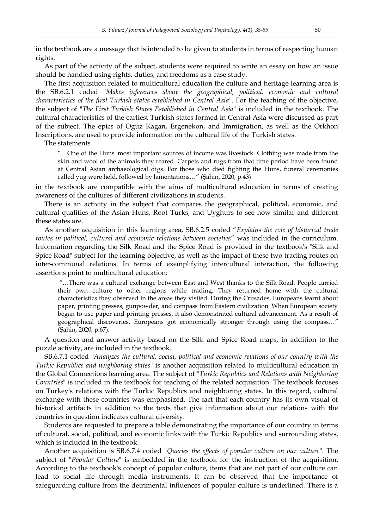in the textbook are a message that is intended to be given to students in terms of respecting human rights.

As part of the activity of the subject, students were required to write an essay on how an issue should be handled using rights, duties, and freedoms as a case study.

The first acquisition related to multicultural education the culture and heritage learning area is the SB.6.2.1 coded "*Makes inferences about the geographical, political, economic and cultural characteristics of the first Turkish states established in Central Asia*". For the teaching of the objective, the subject of "*The First Turkish States Established in Central Asia*" is included in the textbook. The cultural characteristics of the earliest Turkish states formed in Central Asia were discussed as part of the subject. The epics of Oguz Kagan, Ergenekon, and Immigration, as well as the Orkhon Inscriptions, are used to provide information on the cultural life of the Turkish states.

The statements

"…One of the Huns' most important sources of income was livestock. Clothing was made from the skin and wool of the animals they reared. Carpets and rugs from that time period have been found at Central Asian archaeological digs. For those who died fighting the Huns, funeral ceremonies called yug were held, followed by lamentations…" (Şahin, 2020, p.43)

in the textbook are compatible with the aims of multicultural education in terms of creating awareness of the cultures of different civilizations in students.

There is an activity in the subject that compares the geographical, political, economic, and cultural qualities of the Asian Huns, Root Turks, and Uyghurs to see how similar and different these states are.

As another acquisition in this learning area, SB.6.2.5 coded "*Explains the role of historical trade routes in political, cultural and economic relations between societies*" was included in the curriculum. Information regarding the Silk Road and the Spice Road is provided in the textbook's "Silk and Spice Road" subject for the learning objective, as well as the impact of these two trading routes on inter-communal relations. In terms of exemplifying intercultural interaction, the following assertions point to multicultural education:

"…There was a cultural exchange between East and West thanks to the Silk Road. People carried their own culture to other regions while trading. They returned home with the cultural characteristics they observed in the areas they visited. During the Crusades, Europeans learnt about paper, printing presses, gunpowder, and compass from Eastern civilization. When European society began to use paper and printing presses, it also demonstrated cultural advancement. As a result of geographical discoveries, Europeans got economically stronger through using the compass…" (Şahin, 2020, p.67).

A question and answer activity based on the Silk and Spice Road maps, in addition to the puzzle activity, are included in the textbook.

SB.6.7.1 coded "*Analyzes the cultural, social, political and economic relations of our country with the Turkic Republics and neighboring states*" is another acquisition related to multicultural education in the Global Connections learning area. The subject of "*Turkic Republics and Relations with Neighboring Countries*" is included in the textbook for teaching of the related acquisition. The textbook focuses on Turkey's relations with the Turkic Republics and neighboring states. In this regard, cultural exchange with these countries was emphasized. The fact that each country has its own visual of historical artifacts in addition to the texts that give information about our relations with the countries in question indicates cultural diversity.

Students are requested to prepare a table demonstrating the importance of our country in terms of cultural, social, political, and economic links with the Turkic Republics and surrounding states, which is included in the textbook.

Another acquisition is SB.6.7.4 coded "*Queries the effects of popular culture on our culture*". The subject of "*Popular Culture*" is embedded in the textbook for the instruction of the acquisition. According to the textbook's concept of popular culture, items that are not part of our culture can lead to social life through media instruments. It can be observed that the importance of safeguarding culture from the detrimental influences of popular culture is underlined. There is a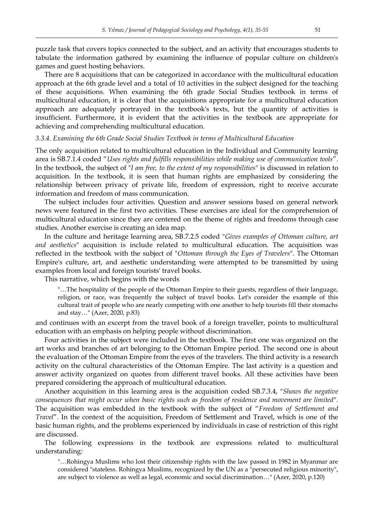puzzle task that covers topics connected to the subject, and an activity that encourages students to tabulate the information gathered by examining the influence of popular culture on children's games and guest hosting behaviors.

There are 8 acquisitions that can be categorized in accordance with the multicultural education approach at the 6th grade level and a total of 10 activities in the subject designed for the teaching of these acquisitions. When examining the 6th grade Social Studies textbook in terms of multicultural education, it is clear that the acquisitions appropriate for a multicultural education approach are adequately portrayed in the textbook's texts, but the quantity of activities is insufficient. Furthermore, it is evident that the activities in the textbook are appropriate for achieving and comprehending multicultural education.

#### *3.3.4. Examining the 6th Grade Social Studies Textbook in terms of Multicultural Education*

The only acquisition related to multicultural education in the Individual and Community learning area is SB.7.1.4 coded "*Uses rights and fulfills responsibilities while making use of communication tools*". In the textbook, the subject of "*I am free, to the extent of my responsibilities*" is discussed in relation to acquisition. In the textbook, it is seen that human rights are emphasized by considering the relationship between privacy of private life, freedom of expression, right to receive accurate information and freedom of mass communication.

The subject includes four activities. Question and answer sessions based on general network news were featured in the first two activities. These exercises are ideal for the comprehension of multicultural education since they are centered on the theme of rights and freedoms through case studies. Another exercise is creating an idea map.

In the culture and heritage learning area, SB.7.2.5 coded "*Gives examples of Ottoman culture, art and aesthetics*" acquisition is include related to multicultural education. The acquisition was reflected in the textbook with the subject of "*Ottoman through the Eyes of Travelers*". The Ottoman Empire's culture, art, and aesthetic understanding were attempted to be transmitted by using examples from local and foreign tourists' travel books.

This narrative, which begins with the words

"…The hospitality of the people of the Ottoman Empire to their guests, regardless of their language, religion, or race, was frequently the subject of travel books. Let's consider the example of this cultural trait of people who are nearly competing with one another to help tourists fill their stomachs and stay…" (Azer, 2020, p.83)

and continues with an excerpt from the travel book of a foreign traveller, points to multicultural education with an emphasis on helping people without discrimination.

Four activities in the subject were included in the textbook. The first one was organized on the art works and branches of art belonging to the Ottoman Empire period. The second one is about the evaluation of the Ottoman Empire from the eyes of the travelers. The third activity is a research activity on the cultural characteristics of the Ottoman Empire. The last activity is a question and answer activity organized on quotes from different travel books. All these activities have been prepared considering the approach of multicultural education.

Another acquisition in this learning area is the acquisition coded SB.7.3.4, "*Shows the negative consequences that might occur when basic rights such as freedom of residence and movement are limited*". The acquisition was embedded in the textbook with the subject of "*Freedom of Settlement and Travel*". In the context of the acquisition, Freedom of Settlement and Travel, which is one of the basic human rights, and the problems experienced by individuals in case of restriction of this right are discussed.

The following expressions in the textbook are expressions related to multicultural understanding:

"…Rohingya Muslims who lost their citizenship rights with the law passed in 1982 in Myanmar are considered "stateless. Rohingya Muslims, recognized by the UN as a "persecuted religious minority", are subject to violence as well as legal, economic and social discrimination…" (Azer, 2020, p.120)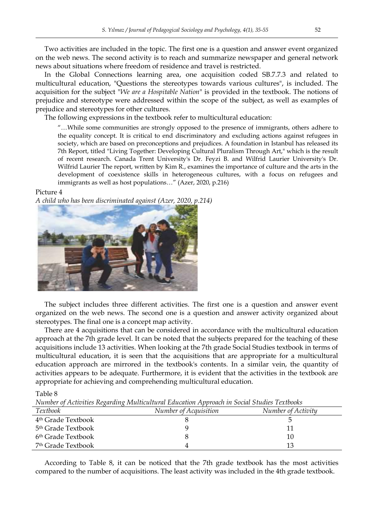Two activities are included in the topic. The first one is a question and answer event organized on the web news. The second activity is to reach and summarize newspaper and general network news about situations where freedom of residence and travel is restricted.

In the Global Connections learning area, one acquisition coded SB.7.7.3 and related to multicultural education, "Questions the stereotypes towards various cultures", is included. The acquisition for the subject "*We are a Hospitable Nation*" is provided in the textbook. The notions of prejudice and stereotype were addressed within the scope of the subject, as well as examples of prejudice and stereotypes for other cultures.

The following expressions in the textbook refer to multicultural education:

"…While some communities are strongly opposed to the presence of immigrants, others adhere to the equality concept. It is critical to end discriminatory and excluding actions against refugees in society, which are based on preconceptions and prejudices. A foundation in Istanbul has released its 7th Report, titled "Living Together: Developing Cultural Pluralism Through Art," which is the result of recent research. Canada Trent University's Dr. Feyzi B. and Wilfrid Laurier University's Dr. Wilfrid Laurier The report, written by Kim R., examines the importance of culture and the arts in the development of coexistence skills in heterogeneous cultures, with a focus on refugees and immigrants as well as host populations…" (Azer, 2020, p.216)

#### Picture 4

*A child who has been discriminated against (Azer, 2020, p.214)*



The subject includes three different activities. The first one is a question and answer event organized on the web news. The second one is a question and answer activity organized about stereotypes. The final one is a concept map activity.

There are 4 acquisitions that can be considered in accordance with the multicultural education approach at the 7th grade level. It can be noted that the subjects prepared for the teaching of these acquisitions include 13 activities. When looking at the 7th grade Social Studies textbook in terms of multicultural education, it is seen that the acquisitions that are appropriate for a multicultural education approach are mirrored in the textbook's contents. In a similar vein, the quantity of activities appears to be adequate. Furthermore, it is evident that the activities in the textbook are appropriate for achieving and comprehending multicultural education.

Table 8

*Number of Activities Regarding Multicultural Education Approach in Social Studies Textbooks* 

| <i>Textbook</i>                | Number of Acquisition | Number of Activity |
|--------------------------------|-----------------------|--------------------|
| 4 <sup>th</sup> Grade Textbook |                       |                    |
| 5 <sup>th</sup> Grade Textbook |                       |                    |
| 6 <sup>th</sup> Grade Textbook |                       | 10                 |
| <sup>7th</sup> Grade Textbook  |                       | 13                 |

According to Table 8, it can be noticed that the 7th grade textbook has the most activities compared to the number of acquisitions. The least activity was included in the 4th grade textbook.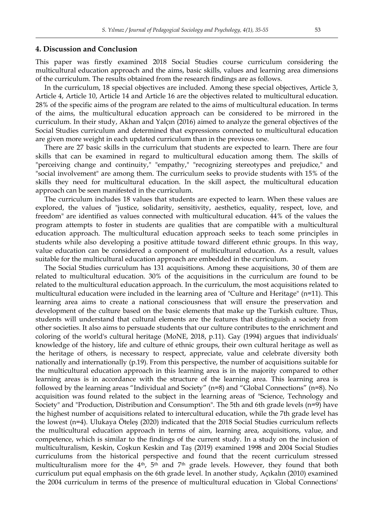#### **4. Discussion and Conclusion**

This paper was firstly examined 2018 Social Studies course curriculum considering the multicultural education approach and the aims, basic skills, values and learning area dimensions of the curriculum. The results obtained from the research findings are as follows.

In the curriculum, 18 special objectives are included. Among these special objectives, Article 3, Article 4, Article 10, Article 14 and Article 16 are the objectives related to multicultural education. 28% of the specific aims of the program are related to the aims of multicultural education. In terms of the aims, the multicultural education approach can be considered to be mirrored in the curriculum. In their study, Akhan and Yalçın (2016) aimed to analyze the general objectives of the Social Studies curriculum and determined that expressions connected to multicultural education are given more weight in each updated curriculum than in the previous one.

There are 27 basic skills in the curriculum that students are expected to learn. There are four skills that can be examined in regard to multicultural education among them. The skills of "perceiving change and continuity," "empathy," "recognizing stereotypes and prejudice," and "social involvement" are among them. The curriculum seeks to provide students with 15% of the skills they need for multicultural education. In the skill aspect, the multicultural education approach can be seen manifested in the curriculum.

The curriculum includes 18 values that students are expected to learn. When these values are explored, the values of "justice, solidarity, sensitivity, aesthetics, equality, respect, love, and freedom" are identified as values connected with multicultural education. 44% of the values the program attempts to foster in students are qualities that are compatible with a multicultural education approach. The multicultural education approach seeks to teach some principles in students while also developing a positive attitude toward different ethnic groups. In this way, value education can be considered a component of multicultural education. As a result, values suitable for the multicultural education approach are embedded in the curriculum.

The Social Studies curriculum has 131 acquisitions. Among these acquisitions, 30 of them are related to multicultural education. 30% of the acquisitions in the curriculum are found to be related to the multicultural education approach. In the curriculum, the most acquisitions related to multicultural education were included in the learning area of "Culture and Heritage" (n=11). This learning area aims to create a national consciousness that will ensure the preservation and development of the culture based on the basic elements that make up the Turkish culture. Thus, students will understand that cultural elements are the features that distinguish a society from other societies. It also aims to persuade students that our culture contributes to the enrichment and coloring of the world's cultural heritage (MoNE, 2018, p.11). Gay (1994) argues that individuals' knowledge of the history, life and culture of ethnic groups, their own cultural heritage as well as the heritage of others, is necessary to respect, appreciate, value and celebrate diversity both nationally and internationally (p.19). From this perspective, the number of acquisitions suitable for the multicultural education approach in this learning area is in the majority compared to other learning areas is in accordance with the structure of the learning area. This learning area is followed by the learning areas "Individual and Society" (n=8) and "Global Connections" (n=8). No acquisition was found related to the subject in the learning areas of "Science, Technology and Society" and "Production, Distribution and Consumption". The 5th and 6th grade levels (n=9) have the highest number of acquisitions related to intercultural education, while the 7th grade level has the lowest (n=4). Ulukaya Öteleş (2020) indicated that the 2018 Social Studies curriculum reflects the multicultural education approach in terms of aim, learning area, acquisitions, value, and competence, which is similar to the findings of the current study. In a study on the inclusion of multiculturalism, Keskin, Coşkun Keskin and Taş (2019) examined 1998 and 2004 Social Studies curriculums from the historical perspective and found that the recent curriculum stressed multiculturalism more for the 4<sup>th</sup>, 5<sup>th</sup> and 7<sup>th</sup> grade levels. However, they found that both curriculum put equal emphasis on the 6th grade level. In another study, Açıkalın (2010) examined the 2004 curriculum in terms of the presence of multicultural education in 'Global Connections'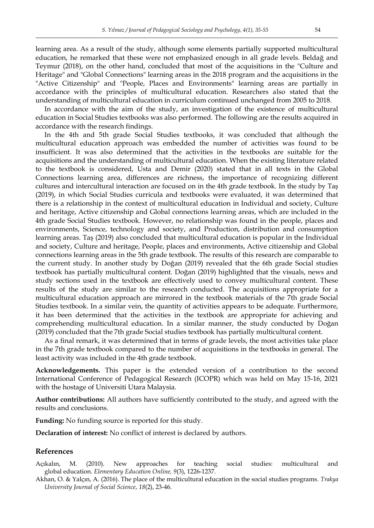learning area. As a result of the study, although some elements partially supported multicultural education, he remarked that these were not emphasized enough in all grade levels. Beldağ and Teymur (2018), on the other hand, concluded that most of the acquisitions in the "Culture and Heritage" and "Global Connections" learning areas in the 2018 program and the acquisitions in the "Active Citizenship" and "People, Places and Environments" learning areas are partially in accordance with the principles of multicultural education. Researchers also stated that the understanding of multicultural education in curriculum continued unchanged from 2005 to 2018.

In accordance with the aim of the study, an investigation of the existence of multicultural education in Social Studies textbooks was also performed. The following are the results acquired in accordance with the research findings.

In the 4th and 5th grade Social Studies textbooks, it was concluded that although the multicultural education approach was embedded the number of activities was found to be insufficient. It was also determined that the activities in the textbooks are suitable for the acquisitions and the understanding of multicultural education. When the existing literature related to the textbook is considered, Usta and Demir (2020) stated that in all texts in the Global Connections learning area, differences are richness, the importance of recognizing different cultures and intercultural interaction are focused on in the 4th grade textbook. In the study by Taş (2019), in which Social Studies curricula and textbooks were evaluated, it was determined that there is a relationship in the context of multicultural education in Individual and society, Culture and heritage, Active citizenship and Global connections learning areas, which are included in the 4th grade Social Studies textbook. However, no relationship was found in the people, places and environments, Science, technology and society, and Production, distribution and consumption learning areas. Taş (2019) also concluded that multicultural education is popular in the Individual and society, Culture and heritage, People, places and environments, Active citizenship and Global connections learning areas in the 5th grade textbook. The results of this research are comparable to the current study. In another study by Doğan (2019) revealed that the 6th grade Social studies textbook has partially multicultural content. Doğan (2019) highlighted that the visuals, news and study sections used in the textbook are effectively used to convey multicultural content. These results of the study are similar to the research conducted. The acquisitions appropriate for a multicultural education approach are mirrored in the textbook materials of the 7th grade Social Studies textbook. In a similar vein, the quantity of activities appears to be adequate. Furthermore, it has been determined that the activities in the textbook are appropriate for achieving and comprehending multicultural education. In a similar manner, the study conducted by Doğan (2019) concluded that the 7th grade Social studies textbook has partially multicultural content.

As a final remark, it was determined that in terms of grade levels, the most activities take place in the 7th grade textbook compared to the number of acquisitions in the textbooks in general. The least activity was included in the 4th grade textbook.

**Acknowledgements.** This paper is the extended version of a contribution to the second International Conference of Pedagogical Research (ICOPR) which was held on May 15-16, 2021 with the hostage of Universiti Utara Malaysia.

**Author contributions:** All authors have sufficiently contributed to the study, and agreed with the results and conclusions.

**Funding:** No funding source is reported for this study.

**Declaration of interest:** No conflict of interest is declared by authors.

#### **References**

- Açıkalın, M. (2010). New approaches for teaching social studies: multicultural and global education. *Elementary Education Online, 9*(3), 1226-1237.
- Akhan, O. & Yalçın, A. (2016). The place of the multicultural education in the social studies programs. *Trakya University Journal of Social Science*, *18*(2), 23-46.